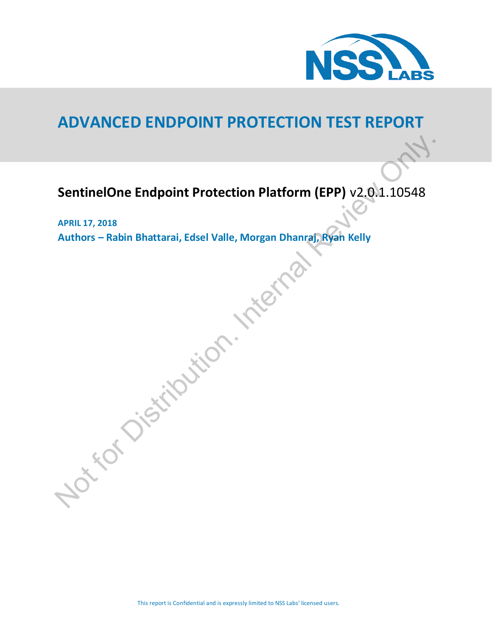

# **ADVANCED ENDPOINT PROTECTION TEST REPORT**

# **SentinelOne Endpoint Protection Platform (EPP)** v2.0.1.10548

**APRIL 17, 2018 Authors – Rabin Bhattarai, Edsel Valle, Morgan Dhanraj, Ryan Kelly** SentinelOne Endpoint Protection Platform (EPP) v2.01.10548<br>APRIL 17, 2018<br>Authors – Rabin Bhattarai, Edsel Valle, Morgan Dhanraf, Ryan Kelly<br>Authors – Rabin Bhattarai, Edsel Valle, Morgan Dhanraf, Ryan Kelly<br>Authors – Rabi

This report is Confidential and is expressly limited to NSS Labs' licensed users.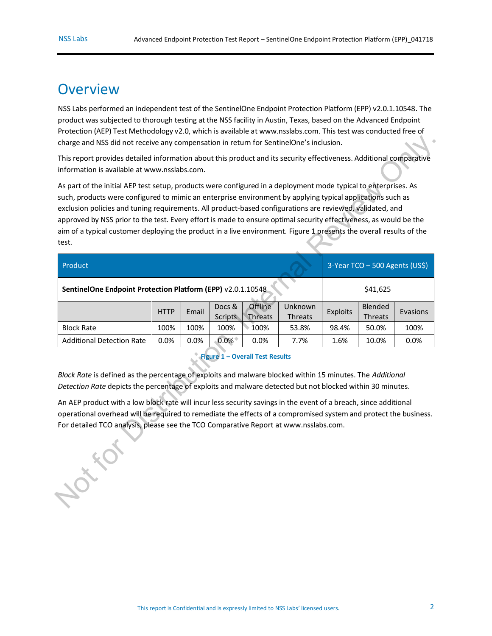## <span id="page-1-1"></span>**Overview**

NSS Labs performed an independent test of the SentinelOne Endpoint Protection Platform (EPP) v2.0.1.10548. The product was subjected to thorough testing at the NSS facility in Austin, Texas, based on the Advanced Endpoint Protection (AEP) Test Methodology v2.0, which is available at [www.nsslabs.com.](http://www.nsslabs.com./) This test was conducted free of charge and NSS did not receive any compensation in return for SentinelOne's inclusion.

| charge and NSS did not receive any compensation in return for SentinelOne's inclusion.                                                                                                                                                                                                                                                                                                                                                                                                                                                                                                          |             |       |                   |                           |                    |          |                           |          |
|-------------------------------------------------------------------------------------------------------------------------------------------------------------------------------------------------------------------------------------------------------------------------------------------------------------------------------------------------------------------------------------------------------------------------------------------------------------------------------------------------------------------------------------------------------------------------------------------------|-------------|-------|-------------------|---------------------------|--------------------|----------|---------------------------|----------|
| This report provides detailed information about this product and its security effectiveness. Additional comparative<br>information is available at www.nsslabs.com.                                                                                                                                                                                                                                                                                                                                                                                                                             |             |       |                   |                           |                    |          |                           |          |
| As part of the initial AEP test setup, products were configured in a deployment mode typical to enterprises. As<br>such, products were configured to mimic an enterprise environment by applying typical applications such as<br>exclusion policies and tuning requirements. All product-based configurations are reviewed, validated, and<br>approved by NSS prior to the test. Every effort is made to ensure optimal security effectiveness, as would be the<br>aim of a typical customer deploying the product in a live environment. Figure 1 presents the overall results of the<br>test. |             |       |                   |                           |                    |          |                           |          |
| 3-Year TCO - 500 Agents (US\$)<br>Product                                                                                                                                                                                                                                                                                                                                                                                                                                                                                                                                                       |             |       |                   |                           |                    |          |                           |          |
| SentinelOne Endpoint Protection Platform (EPP) v2.0.1.10548                                                                                                                                                                                                                                                                                                                                                                                                                                                                                                                                     |             |       |                   | \$41,625                  |                    |          |                           |          |
|                                                                                                                                                                                                                                                                                                                                                                                                                                                                                                                                                                                                 | <b>HTTP</b> | Email | Docs &<br>Scripts | Offline<br><b>Threats</b> | Unknown<br>Threats | Exploits | Blended<br><b>Threats</b> | Evasions |
| <b>Block Rate</b>                                                                                                                                                                                                                                                                                                                                                                                                                                                                                                                                                                               | 100%        | 100%  | 100%              | 100%                      | 53.8%              | 98.4%    | 50.0%                     | 100%     |
| <b>Additional Detection Rate</b>                                                                                                                                                                                                                                                                                                                                                                                                                                                                                                                                                                | 0.0%        | 0.0%  | $0.0\%$           | 0.0%                      | 7.7%               | 1.6%     | 10.0%                     | 0.0%     |
| <b>Figure 1 - Overall Test Results</b><br>Block Rate is defined as the percentage of exploits and malware blocked within 15 minutes. The Additional<br>Detection Rate depicts the percentage of exploits and malware detected but not blocked within 30 minutes.                                                                                                                                                                                                                                                                                                                                |             |       |                   |                           |                    |          |                           |          |
| An AEP product with a low block rate will incur less security savings in the event of a breach, since additional<br>operational overhead will be required to remediate the effects of a compromised system and protect the business.<br>For detailed TCO analysis, please see the TCO Comparative Report at www.nsslabs.com.                                                                                                                                                                                                                                                                    |             |       |                   |                           |                    |          |                           |          |
| $x^2$                                                                                                                                                                                                                                                                                                                                                                                                                                                                                                                                                                                           |             |       |                   |                           |                    |          |                           |          |

## <span id="page-1-0"></span>**Figure 1 – Overall Test Results**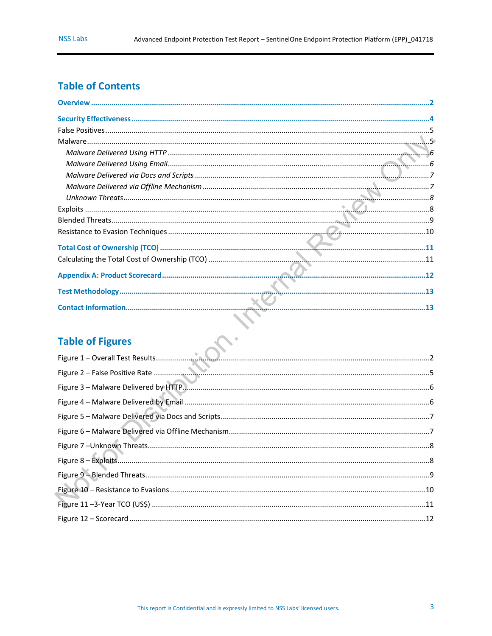## **Table of Contents**

| <b>Table of Figures</b> |  |
|-------------------------|--|

## **Table of Figures**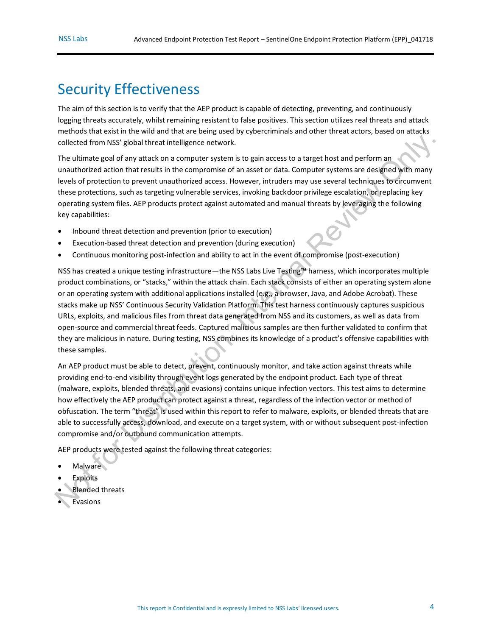## <span id="page-3-0"></span>Security Effectiveness

The aim of this section is to verify that the AEP product is capable of detecting, preventing, and continuously logging threats accurately, whilst remaining resistant to false positives. This section utilizes real threats and attack methods that exist in the wild and that are being used by cybercriminals and other threat actors, based on attacks collected from NSS' global threat intelligence network.

The ultimate goal of any attack on a computer system is to gain access to a target host and perform an unauthorized action that results in the compromise of an asset or data. Computer systems are designed with many levels of protection to prevent unauthorized access. However, intruders may use several techniques to circumvent these protections, such as targeting vulnerable services, invoking backdoor privilege escalation, or replacing key operating system files. AEP products protect against automated and manual threats by leveraging the following key capabilities:

- Inbound threat detection and prevention (prior to execution)
- Execution-based threat detection and prevention (during execution)
- Continuous monitoring post-infection and ability to act in the event of compromise (post-execution)

NSS has created a unique testing infrastructure—the NSS Labs Live Testing™ harness, which incorporates multiple product combinations, or "stacks," within the attack chain. Each stack consists of either an operating system alone or an operating system with additional applications installed (e.g., a browser, Java, and Adobe Acrobat). These stacks make up NSS' Continuous Security Validation Platform. This test harness continuously captures suspicious URLs, exploits, and malicious files from threat data generated from NSS and its customers, as well as data from open-source and commercial threat feeds. Captured malicious samples are then further validated to confirm that they are malicious in nature. During testing, NSS combines its knowledge of a product's offensive capabilities with these samples. from NSS' global threat intelligence network.<br>
the goal of any attack on a computer system is to gain access to a target host and perform an<br>
exercution that results in the compromise of data. Computer systems are designed

An AEP product must be able to detect, prevent, continuously monitor, and take action against threats while providing end-to-end visibility through event logs generated by the endpoint product. Each type of threat (malware, exploits, blended threats, and evasions) contains unique infection vectors. This test aims to determine how effectively the AEP product can protect against a threat, regardless of the infection vector or method of obfuscation. The term "threat" is used within this report to refer to malware, exploits, or blended threats that are able to successfully access, download, and execute on a target system, with or without subsequent post-infection compromise and/or outbound communication attempts.

AEP products were tested against the following threat categories:

- Malware
- **Exploits**
- Blended threats • Malware<br>• Exploits<br>• Blended t<br>• Evasions
- Evasions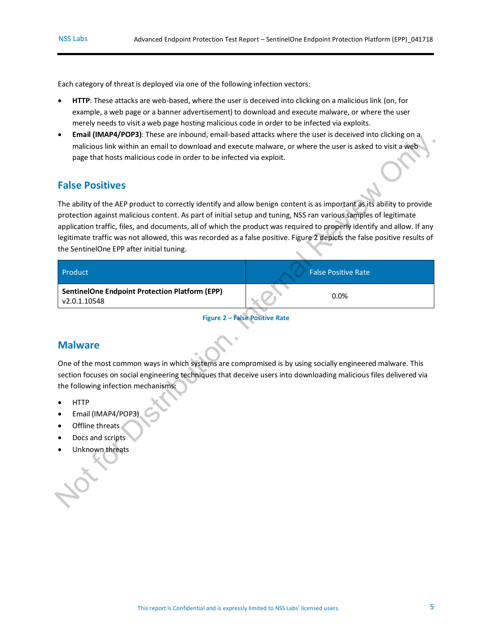Each category of threat is deployed via one of the following infection vectors:

- **HTTP**: These attacks are web-based, where the user is deceived into clicking on a malicious link (on, for example, a web page or a banner advertisement) to download and execute malware, or where the user merely needs to visit a web page hosting malicious code in order to be infected via exploits.
- **Email (IMAP4/POP3)**: These are inbound, email-based attacks where the user is deceived into clicking on a malicious link within an email to download and execute malware, or where the user is asked to visit a web page that hosts malicious code in order to be infected via exploit.

### <span id="page-4-0"></span>**False Positives**

The ability of the AEP product to correctly identify and allow benign content is as important as its ability to provide protection against malicious content. As part of initial setup and tuning, NSS ran various samples of legitimate application traffic, files, and documents, all of which the product was required to properly identify and allow. If any legitimate traffic was not allowed, this was recorded as a false positive. Figure 2 depicts the false positive results of the SentinelOne EPP after initial tuning. • Internal With an email to download and securit enables white the uncertainty and the security of the security of the security is a propertied to the security is a propertied to the security is a propertied to the securit

| Product                                                               | <b>False Positive Rate</b> |
|-----------------------------------------------------------------------|----------------------------|
| <b>SentinelOne Endpoint Protection Platform (EPP)</b><br>v2.0.1.10548 | $0.0\%$                    |

**Figure 2 – False Positive Rate**

### <span id="page-4-2"></span><span id="page-4-1"></span>**Malware**

One of the most common ways in which systems are compromised is by using socially engineered malware. This section focuses on social engineering techniques that deceive users into downloading malicious files delivered via the following infection mechanisms:

- HTTP
- Email (IMAP4/POP3)
- Offline threats
- Docs and scripts
- Unknown threats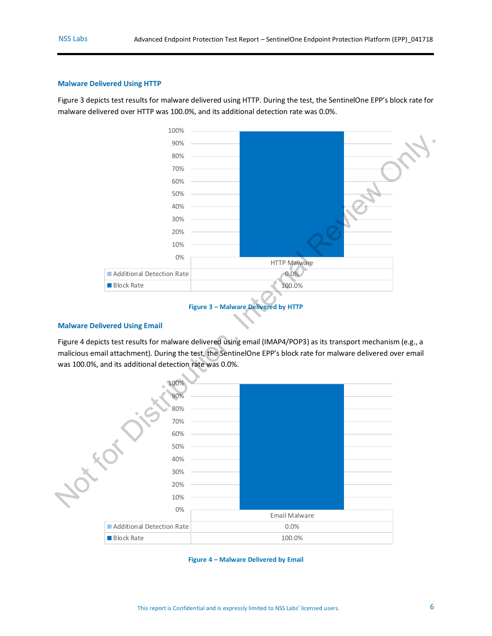#### <span id="page-5-0"></span>**Malware Delivered Using HTTP**

[Figure 3](#page-5-2) depicts test results for malware delivered using HTTP. During the test, the SentinelOne EPP's block rate for malware delivered over HTTP was 100.0%, and its additional detection rate was 0.0%.



#### **Figure 3 – Malware Delivered by HTTP**

#### <span id="page-5-2"></span><span id="page-5-1"></span>**Malware Delivered Using Email**

Figure 4 depicts test results for malware delivered using email (IMAP4/POP3) as its transport mechanism (e.g., a malicious email attachment). During the test, the SentinelOne EPP's block rate for malware delivered over email was 100.0%, and its additional detection rate was 0.0%.



<span id="page-5-3"></span>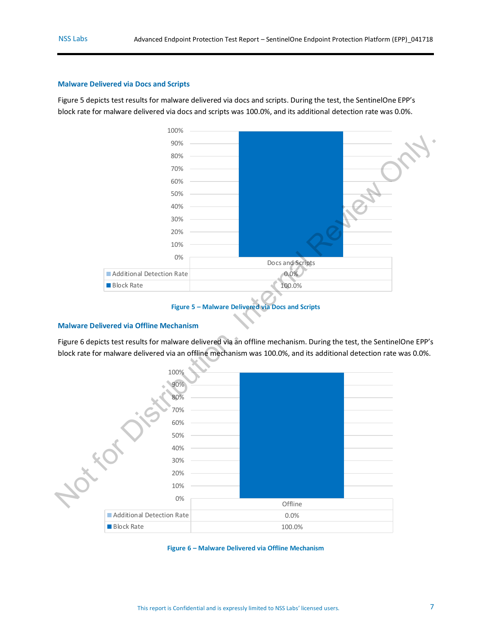#### <span id="page-6-0"></span>**Malware Delivered via Docs and Scripts**

[Figure 5](#page-6-2) depicts test results for malware delivered via docs and scripts. During the test, the SentinelOne EPP's block rate for malware delivered via docs and scripts was 100.0%, and its additional detection rate was 0.0%.



#### **Figure 5 – Malware Delivered via Docs and Scripts**

#### <span id="page-6-2"></span><span id="page-6-1"></span>**Malware Delivered via Offline Mechanism**

Figure 6 depicts test results for malware delivered via an offline mechanism. During the test, the SentinelOne EPP's block rate for malware delivered via an offline mechanism was 100.0%, and its additional detection rate was 0.0%.



<span id="page-6-3"></span>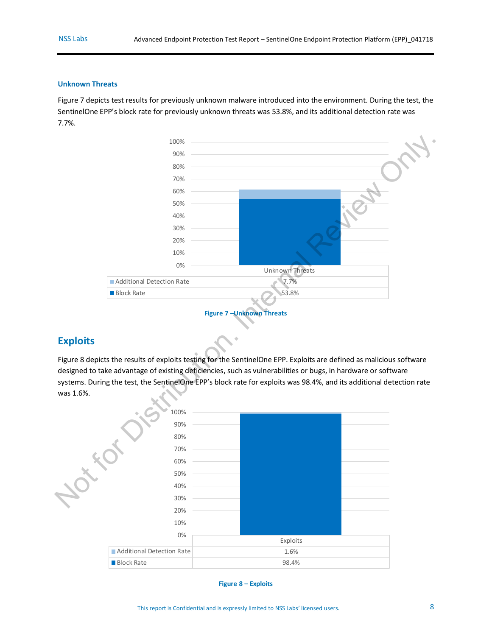#### <span id="page-7-0"></span>**Unknown Threats**

[Figure 7](#page-7-2) depicts test results for previously unknown malware introduced into the environment. During the test, the SentinelOne EPP's block rate for previously unknown threats was 53.8%, and its additional detection rate was 7.7%.





### <span id="page-7-2"></span><span id="page-7-1"></span>**Exploits**

Figure 8 depicts the results of exploits testing for the SentinelOne EPP. Exploits are defined as malicious software designed to take advantage of existing deficiencies, such as vulnerabilities or bugs, in hardware or software systems. During the test, the SentinelOne EPP's block rate for exploits was 98.4%, and its additional detection rate was 1.6%.



<span id="page-7-3"></span>**Figure 8 – Exploits**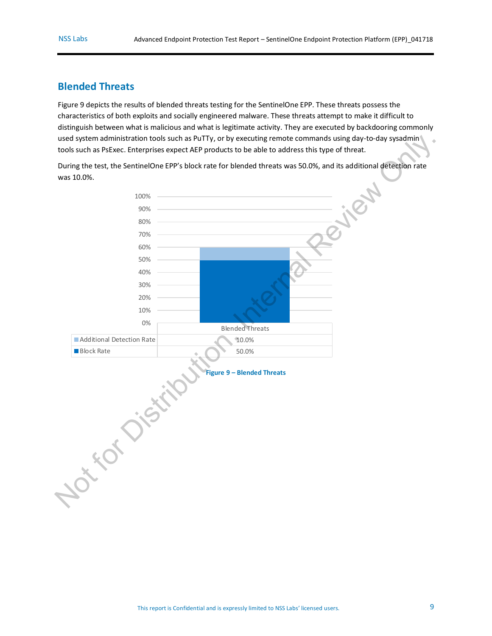### <span id="page-8-0"></span>**Blended Threats**

[Figure 9](#page-8-1) depicts the results of blended threats testing for the SentinelOne EPP. These threats possess the characteristics of both exploits and socially engineered malware. These threats attempt to make it difficult to distinguish between what is malicious and what is legitimate activity. They are executed by backdooring commonly used system administration tools such as PuTTy, or by executing remote commands using day-to-day sysadmin tools such as PsExec. Enterprises expect AEP products to be able to address this type of threat.

<span id="page-8-1"></span>During the test, the SentinelOne EPP's block rate for blended threats was 50.0%, and its additional detection rate was 10.0%.

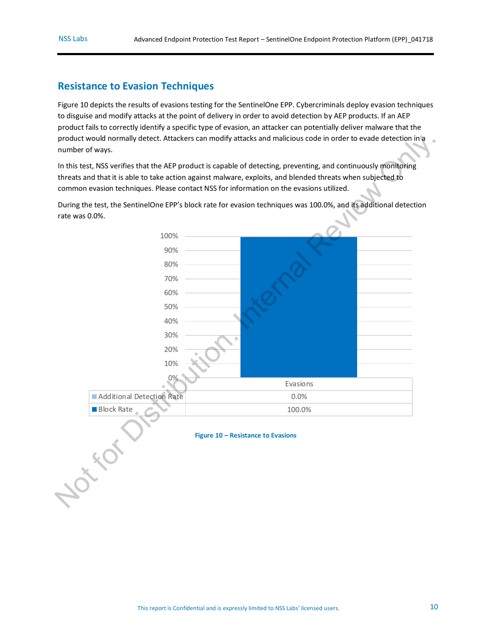### <span id="page-9-0"></span>**Resistance to Evasion Techniques**

[Figure 10](#page-9-1) depicts the results of evasions testing for the SentinelOne EPP. Cybercriminals deploy evasion techniques to disguise and modify attacks at the point of delivery in order to avoid detection by AEP products. If an AEP product fails to correctly identify a specific type of evasion, an attacker can potentially deliver malware that the product would normally detect. Attackers can modify attacks and malicious code in order to evade detection in a number of ways.

In this test, NSS verifies that the AEP product is capable of detecting, preventing, and continuously monitoring threats and that it is able to take action against malware, exploits, and blended threats when subjected to common evasion techniques. Please contact NSS for information on the evasions utilized.

<span id="page-9-1"></span>During the test, the SentinelOne EPP's block rate for evasion techniques was 100.0%, and its additional detection rate was 0.0%.

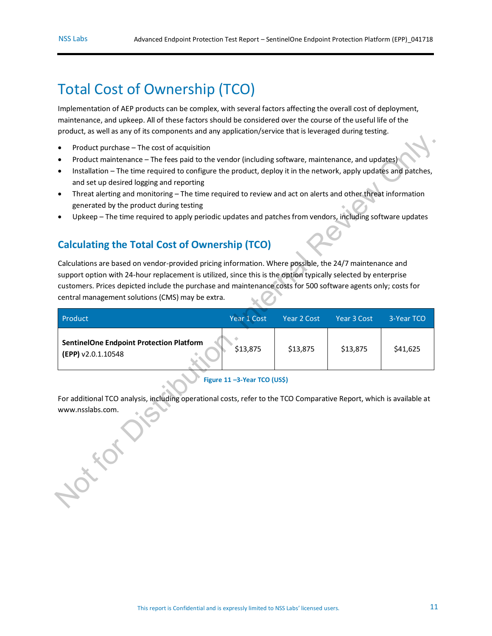# <span id="page-10-0"></span>Total Cost of Ownership (TCO)

Implementation of AEP products can be complex, with several factors affecting the overall cost of deployment, maintenance, and upkeep. All of these factors should be considered over the course of the useful life of the product, as well as any of its components and any application/service that is leveraged during testing.

- Product purchase The cost of acquisition
- Product maintenance The fees paid to the vendor (including software, maintenance, and updates)
- Installation The time required to configure the product, deploy it in the network, apply updates and patches, and set up desired logging and reporting
- Threat alerting and monitoring The time required to review and act on alerts and other threat information generated by the product during testing
- Upkeep The time required to apply periodic updates and patches from vendors, including software updates

### <span id="page-10-2"></span><span id="page-10-1"></span>**Calculating the Total Cost of Ownership (TCO)**

| Product purchase - The cost of acquisition<br>$\bullet$<br>Product maintenance - The fees paid to the vendor (including software, maintenance, and updates)<br>Installation - The time required to configure the product, deploy it in the network, apply updates and patches,<br>٠<br>and set up desired logging and reporting<br>Threat alerting and monitoring - The time required to review and act on alerts and other threat information<br>٠<br>generated by the product during testing<br>Upkeep - The time required to apply periodic updates and patches from vendors, including software updates<br><b>Calculating the Total Cost of Ownership (TCO)</b> |                             |             |             |            |  |
|---------------------------------------------------------------------------------------------------------------------------------------------------------------------------------------------------------------------------------------------------------------------------------------------------------------------------------------------------------------------------------------------------------------------------------------------------------------------------------------------------------------------------------------------------------------------------------------------------------------------------------------------------------------------|-----------------------------|-------------|-------------|------------|--|
| Calculations are based on vendor-provided pricing information. Where possible, the 24/7 maintenance and                                                                                                                                                                                                                                                                                                                                                                                                                                                                                                                                                             |                             |             |             |            |  |
| support option with 24-hour replacement is utilized, since this is the option typically selected by enterprise                                                                                                                                                                                                                                                                                                                                                                                                                                                                                                                                                      |                             |             |             |            |  |
| customers. Prices depicted include the purchase and maintenance costs for 500 software agents only; costs for                                                                                                                                                                                                                                                                                                                                                                                                                                                                                                                                                       |                             |             |             |            |  |
| central management solutions (CMS) may be extra.                                                                                                                                                                                                                                                                                                                                                                                                                                                                                                                                                                                                                    |                             |             |             |            |  |
|                                                                                                                                                                                                                                                                                                                                                                                                                                                                                                                                                                                                                                                                     |                             | Year 2 Cost | Year 3 Cost | 3-Year TCO |  |
|                                                                                                                                                                                                                                                                                                                                                                                                                                                                                                                                                                                                                                                                     |                             |             |             |            |  |
| Product                                                                                                                                                                                                                                                                                                                                                                                                                                                                                                                                                                                                                                                             | Year 1 Cost                 |             |             |            |  |
| <b>SentinelOne Endpoint Protection Platform</b><br>(EPP) v2.0.1.10548                                                                                                                                                                                                                                                                                                                                                                                                                                                                                                                                                                                               | \$13,875                    | \$13,875    | \$13,875    | \$41,625   |  |
|                                                                                                                                                                                                                                                                                                                                                                                                                                                                                                                                                                                                                                                                     | Figure 11-3-Year TCO (US\$) |             |             |            |  |
| For additional TCO analysis, including operational costs, refer to the TCO Comparative Report, which is available at                                                                                                                                                                                                                                                                                                                                                                                                                                                                                                                                                |                             |             |             |            |  |
| www.nsslabs.com.                                                                                                                                                                                                                                                                                                                                                                                                                                                                                                                                                                                                                                                    |                             |             |             |            |  |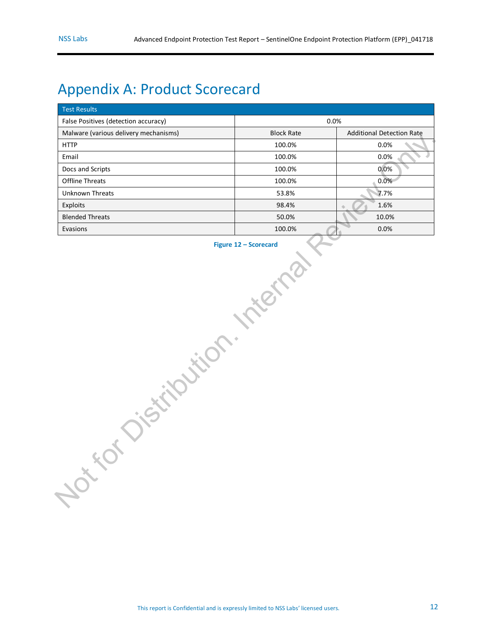# <span id="page-11-0"></span>Appendix A: Product Scorecard

<span id="page-11-1"></span>

| <b>Test Results</b>                   |                   |                                  |  |  |
|---------------------------------------|-------------------|----------------------------------|--|--|
| False Positives (detection accuracy)  | 0.0%              |                                  |  |  |
| Malware (various delivery mechanisms) | <b>Block Rate</b> | <b>Additional Detection Rate</b> |  |  |
| <b>HTTP</b>                           | 100.0%            | 0.0%                             |  |  |
| Email                                 | 100.0%            | 0.0%                             |  |  |
| Docs and Scripts                      | 100.0%            | 0.0%                             |  |  |
| Offline Threats                       | 100.0%            | 0.0%                             |  |  |
| Unknown Threats                       | 53.8%             | 7.7%                             |  |  |
| Exploits                              | 98.4%             | 1.6%                             |  |  |
| <b>Blended Threats</b>                | 50.0%             | 10.0%                            |  |  |
| Evasions                              | 100.0%            | 0.0%                             |  |  |
| XXX<br>HILL N                         |                   |                                  |  |  |

**Figure 12 – Scorecard**